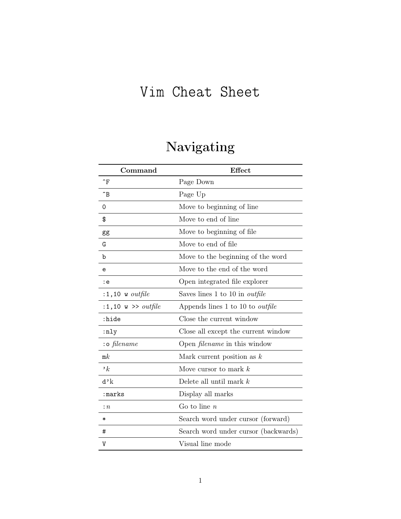## Vim Cheat Sheet

# Navigating

| Command                             | Effect                                  |
|-------------------------------------|-----------------------------------------|
| $\mathbin{\char`\^}F$               | Page Down                               |
| $\mathbin{\char`\^}B$               | Page Up                                 |
| 0                                   | Move to beginning of line               |
| \$                                  | Move to end of line                     |
| gg                                  | Move to beginning of file.              |
| G                                   | Move to end of file                     |
| b                                   | Move to the beginning of the word       |
| e                                   | Move to the end of the word             |
| : e                                 | Open integrated file explorer           |
| $:1,10$ w outfile                   | Saves lines 1 to 10 in <i>outfile</i>   |
| :1,10 $\text{w} \gg \text{outfile}$ | Appends lines 1 to 10 to <i>outfile</i> |
| :hide                               | Close the current window                |
| :nly                                | Close all except the current window     |
| : o filename                        | Open <i>filename</i> in this window     |
| mk                                  | Mark current position as $k$            |
| $\cdot_k$                           | Move cursor to mark $k$                 |
| d'k                                 | Delete all until mark $k$               |
| :marks                              | Display all marks                       |
| $\colon n$                          | Go to line $n$                          |
| $\ast$                              | Search word under cursor (forward)      |
| #                                   | Search word under cursor (backwards)    |
| V                                   | Visual line mode                        |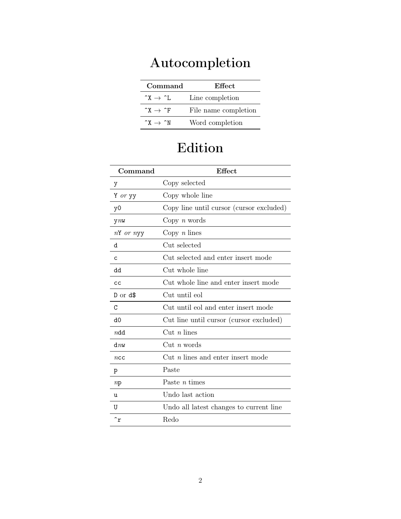# Autocompletion

| Command                         | Effect.              |
|---------------------------------|----------------------|
| $\hat{X} \rightarrow \hat{I}$ . | Line completion      |
| $\hat{X} \rightarrow \hat{F}$   | File name completion |
| $\hat{X} \rightarrow \hat{N}$   | Word completion      |

## Edition

| Command        | <b>Effect</b>                              |
|----------------|--------------------------------------------|
| у              | Copy selected                              |
| Y or yy        | Copy whole line                            |
| y <sub>0</sub> | Copy line until cursor (cursor excluded)   |
| $V^{\prime}$   | Copy $n$ words                             |
| nY or nyy      | Copy $n \times$                            |
| d              | Cut selected                               |
| C              | Cut selected and enter insert mode         |
| dd             | Cut whole line                             |
| cc             | Cut whole line and enter insert mode       |
| $D$ or $d\$    | Cut until eol                              |
| C              | Cut until eol and enter insert mode        |
| d0             | Cut line until cursor (cursor excluded)    |
| $n$ dd         | $\mathrm{Cut}$ <i>n</i> lines              |
| dmw            | Cut <i>n</i> words                         |
| ncc            | $Cut$ <i>n</i> lines and enter insert mode |
| p              | Paste                                      |
| np             | Paste $n$ times                            |
| u              | Undo last action                           |
| U              | Undo all latest changes to current line    |
| $\hat{r}$      | Redo                                       |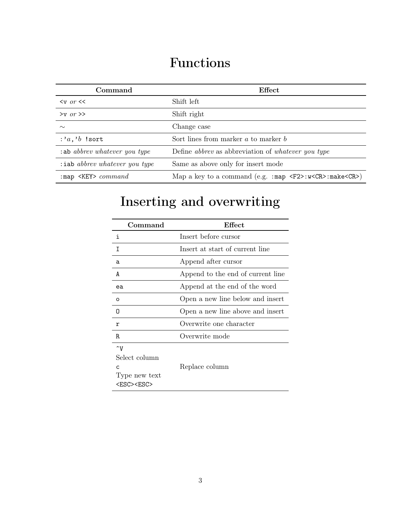#### Functions

| Command                                 | Effect                                                                                                      |
|-----------------------------------------|-------------------------------------------------------------------------------------------------------------|
| $\langle v \text{ or } \langle \langle$ | Shift left                                                                                                  |
| $>v$ or $>$                             | Shift right                                                                                                 |
| $\sim$                                  | Change case                                                                                                 |
| $:a, b$ !sort                           | Sort lines from marker $a$ to marker $b$                                                                    |
| $:$ ab abbrev whatever you type         | Define <i>abbrev</i> as abbreviation of <i>whatever</i> you type                                            |
| $:$ iab abbrev whatever you type        | Same as above only for insert mode                                                                          |
| : map $\langle$ KEY> $command$          | Map a key to a command (e.g. : map $\langle F2\rangle$ : w $\langle CR\rangle$ : make $\langle CR\rangle$ ) |

# Inserting and overwriting

| Command                                                                            | Effect                            |  |
|------------------------------------------------------------------------------------|-----------------------------------|--|
| i                                                                                  | Insert before cursor              |  |
| Τ                                                                                  | Insert at start of current line   |  |
| a                                                                                  | Append after cursor               |  |
| A                                                                                  | Append to the end of current line |  |
| ea                                                                                 | Append at the end of the word     |  |
| $\circ$                                                                            | Open a new line below and insert  |  |
| Ω                                                                                  | Open a new line above and insert  |  |
| r                                                                                  | Overwrite one character           |  |
| R                                                                                  | Overwrite mode                    |  |
| $\mathbf{v}$<br>Select column<br>C.<br>Type new text<br><f.sc><f.sc></f.sc></f.sc> | Replace column                    |  |